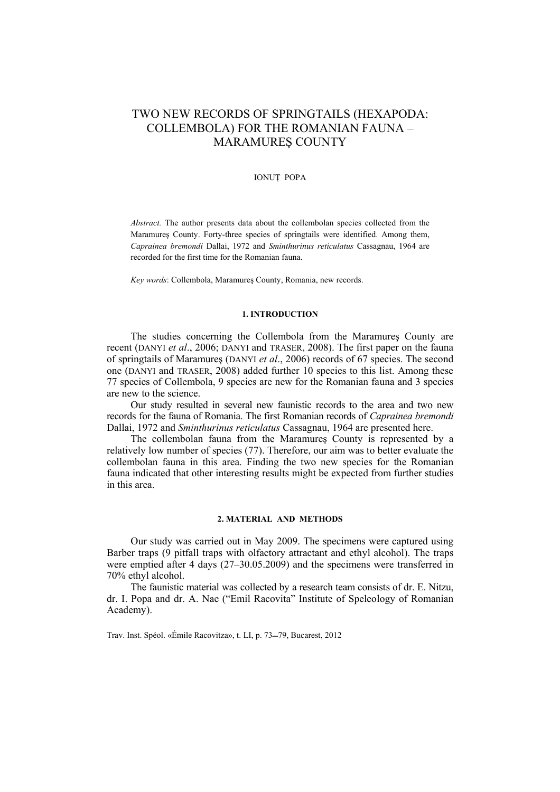# TWO NEW RECORDS OF SPRINGTAILS (HEXAPODA: COLLEMBOLA) FOR THE ROMANIAN FAUNA – MARAMUREŞ COUNTY

#### IONUŢ POPA

*Abstract.* The author presents data about the collembolan species collected from the Maramureş County. Forty-three species of springtails were identified. Among them, *Caprainea bremondi* Dallai, 1972 and *Sminthurinus reticulatus* Cassagnau, 1964 are recorded for the first time for the Romanian fauna.

*Key words*: Collembola, Maramureş County, Romania, new records.

## **1. INTRODUCTION**

The studies concerning the Collembola from the Maramureş County are recent (DANYI *et al*., 2006; DANYI and TRASER, 2008). The first paper on the fauna of springtails of Maramureş (DANYI *et al*., 2006) records of 67 species. The second one (DANYI and TRASER, 2008) added further 10 species to this list. Among these 77 species of Collembola, 9 species are new for the Romanian fauna and 3 species are new to the science.

Our study resulted in several new faunistic records to the area and two new records for the fauna of Romania. The first Romanian records of *Caprainea bremondi*  Dallai, 1972 and *Sminthurinus reticulatus* Cassagnau, 1964 are presented here.

The collembolan fauna from the Maramureş County is represented by a relatively low number of species (77). Therefore, our aim was to better evaluate the collembolan fauna in this area. Finding the two new species for the Romanian fauna indicated that other interesting results might be expected from further studies in this area.

#### **2. MATERIAL AND METHODS**

Our study was carried out in May 2009. The specimens were captured using Barber traps (9 pitfall traps with olfactory attractant and ethyl alcohol). The traps were emptied after 4 days (27–30.05.2009) and the specimens were transferred in 70% ethyl alcohol.

The faunistic material was collected by a research team consists of dr. E. Nitzu, dr. I. Popa and dr. A. Nae ("Emil Racovita" Institute of Speleology of Romanian Academy).

Trav. Inst. Spéol. «Émile Racovitza», t. LI, p. 73–79, Bucarest, 2012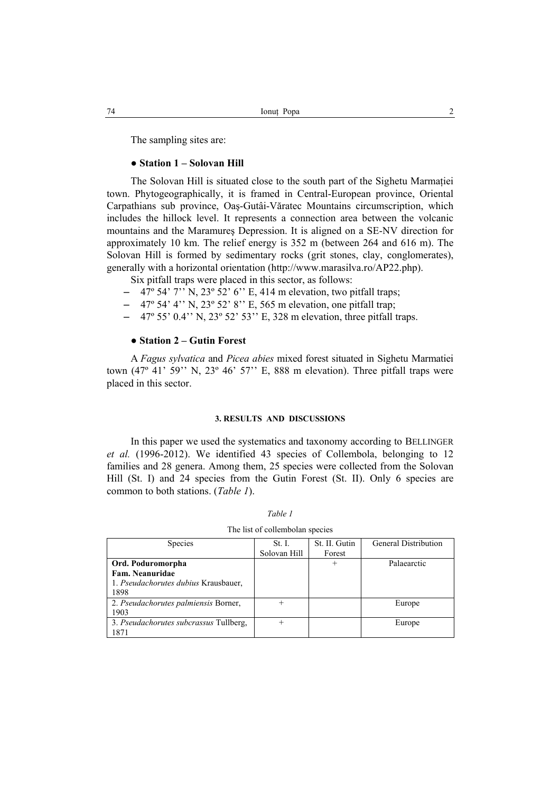The sampling sites are:

#### ● **Station 1 – Solovan Hill**

The Solovan Hill is situated close to the south part of the Sighetu Marmatiei town. Phytogeographically, it is framed in Central-European province, Oriental Carpathians sub province, Oaş-Gutâi-Văratec Mountains circumscription, which includes the hillock level. It represents a connection area between the volcanic mountains and the Maramureş Depression. It is aligned on a SE-NV direction for approximately 10 km. The relief energy is 352 m (between 264 and 616 m). The Solovan Hill is formed by sedimentary rocks (grit stones, clay, conglomerates), generally with a horizontal orientation (http://www.marasilva.ro/AP22.php).

Six pitfall traps were placed in this sector, as follows:

- $-$  47° 54' 7'' N, 23° 52' 6'' E, 414 m elevation, two pitfall traps;
- $-$  47° 54' 4'' N, 23° 52' 8'' E, 565 m elevation, one pitfall trap;
- $-$  47° 55' 0.4'' N, 23° 52' 53'' E, 328 m elevation, three pitfall traps.

# ● **Station 2 – Gutin Forest**

A *Fagus sylvatica* and *Picea abies* mixed forest situated in Sighetu Marmatiei town  $(47^{\circ} 41' 59'$  N,  $23^{\circ} 46' 57'$  E, 888 m elevation). Three pitfall traps were placed in this sector.

#### **3. RESULTS AND DISCUSSIONS**

In this paper we used the systematics and taxonomy according to BELLINGER *et al.* (1996-2012). We identified 43 species of Collembola, belonging to 12 families and 28 genera. Among them, 25 species were collected from the Solovan Hill (St. I) and 24 species from the Gutin Forest (St. II). Only 6 species are common to both stations. (*Table 1*).

| <b>Species</b>                         | St. I.       | St. II. Gutin | <b>General Distribution</b> |
|----------------------------------------|--------------|---------------|-----------------------------|
|                                        | Solovan Hill | Forest        |                             |
| Ord. Poduromorpha                      |              | $^{+}$        | Palaearctic                 |
| Fam. Neanuridae                        |              |               |                             |
| 1. Pseudachorutes dubius Krausbauer,   |              |               |                             |
| 1898                                   |              |               |                             |
| 2. Pseudachorutes palmiensis Borner,   | $^{+}$       |               | Europe                      |
| 1903                                   |              |               |                             |
| 3. Pseudachorutes subcrassus Tullberg, | $^{+}$       |               | Europe                      |
| 1871                                   |              |               |                             |
|                                        |              |               |                             |

| ant |  |
|-----|--|
|-----|--|

The list of collembolan species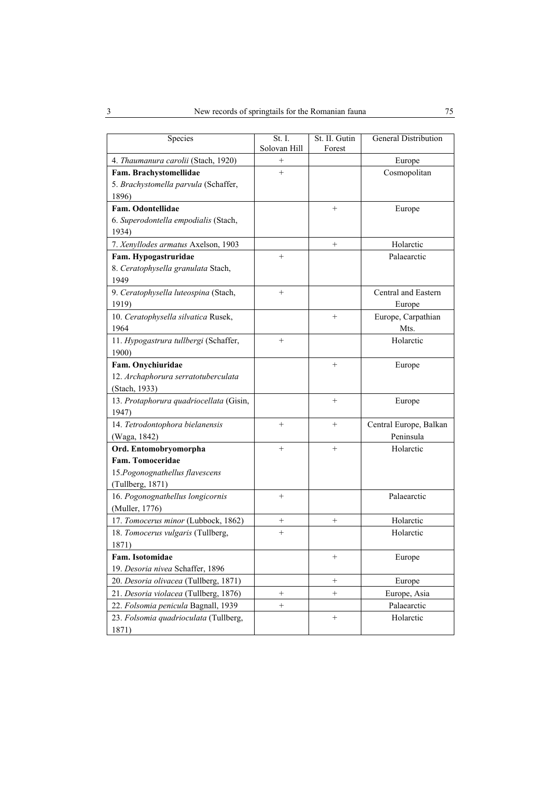| Species                                 | St. I.          | St. II. Gutin   | General Distribution   |
|-----------------------------------------|-----------------|-----------------|------------------------|
|                                         | Solovan Hill    | Forest          |                        |
| 4. Thaumanura carolii (Stach, 1920)     | $\! + \!\!\!\!$ |                 | Europe                 |
| Fam. Brachystomellidae                  | $^{+}$          |                 | Cosmopolitan           |
| 5. Brachystomella parvula (Schaffer,    |                 |                 |                        |
| 1896)                                   |                 |                 |                        |
| Fam. Odontellidae                       |                 | $^{+}$          | Europe                 |
| 6. Superodontella empodialis (Stach,    |                 |                 |                        |
| 1934)                                   |                 |                 |                        |
| 7. Xenyllodes armatus Axelson, 1903     |                 | $\! + \!\!\!\!$ | Holarctic              |
| Fam. Hypogastruridae                    | $+$             |                 | Palaearctic            |
| 8. Ceratophysella granulata Stach,      |                 |                 |                        |
| 1949                                    |                 |                 |                        |
| 9. Ceratophysella luteospina (Stach,    | $+$             |                 | Central and Eastern    |
| 1919)                                   |                 |                 | Europe                 |
| 10. Ceratophysella silvatica Rusek,     |                 | $+$             | Europe, Carpathian     |
| 1964                                    |                 |                 | Mts.                   |
| 11. Hypogastrura tullbergi (Schaffer,   | $^{+}$          |                 | Holarctic              |
| 1900)                                   |                 |                 |                        |
| Fam. Onychiuridae                       |                 | $+$             | Europe                 |
| 12. Archaphorura serratotuberculata     |                 |                 |                        |
| (Stach, 1933)                           |                 |                 |                        |
| 13. Protaphorura quadriocellata (Gisin, |                 | $+$             | Europe                 |
| 1947)                                   |                 |                 |                        |
| 14. Tetrodontophora bielanensis         | $^{+}$          | $^{+}$          | Central Europe, Balkan |
| (Waga, 1842)                            |                 |                 | Peninsula              |
| Ord. Entomobryomorpha                   | $^{+}$          | $^{+}$          | Holarctic              |
| Fam. Tomoceridae                        |                 |                 |                        |
| 15. Pogonognathellus flavescens         |                 |                 |                        |
| (Tullberg, 1871)                        |                 |                 |                        |
| 16. Pogonognathellus longicornis        | $+$             |                 | Palaearctic            |
| (Muller, 1776)                          |                 |                 |                        |
| 17. Tomocerus minor (Lubbock, 1862)     | $\! + \!\!\!\!$ | $+$             | Holarctic              |
| 18. Tomocerus vulgaris (Tullberg,       | $\! + \!\!\!\!$ |                 | Holarctic              |
| 1871)                                   |                 |                 |                        |
| Fam. Isotomidae                         |                 | $\! + \!\!\!\!$ | Europe                 |
| 19. Desoria nivea Schaffer, 1896        |                 |                 |                        |
| 20. Desoria olivacea (Tullberg, 1871)   |                 | $^+$            | Europe                 |
| 21. Desoria violacea (Tullberg, 1876)   | $\! + \!$       | $^{+}$          | Europe, Asia           |
| 22. Folsomia penicula Bagnall, 1939     | $+$             |                 | Palaearctic            |
| 23. Folsomia quadrioculata (Tullberg,   |                 | $\! + \!\!\!\!$ | Holarctic              |
| 1871)                                   |                 |                 |                        |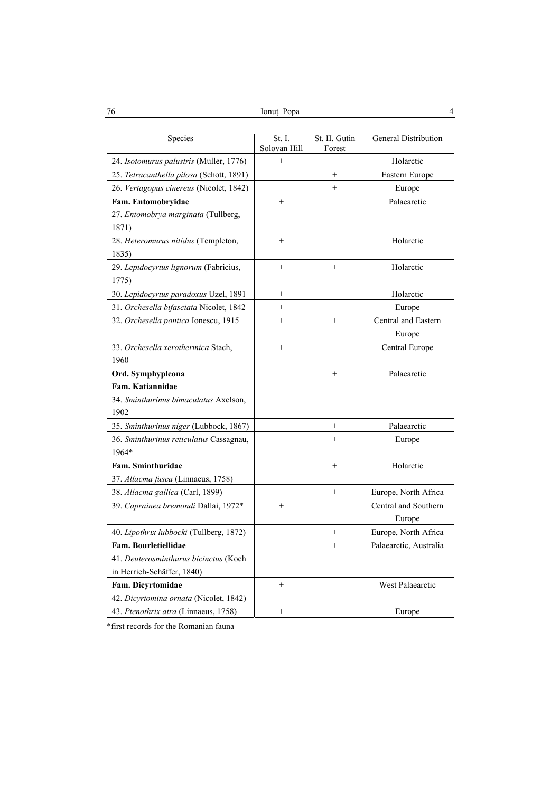Ionuţ Popa 4 76

| Species                                   | St. I.<br>Solovan Hill | St. II. Gutin<br>Forest | General Distribution    |
|-------------------------------------------|------------------------|-------------------------|-------------------------|
| 24. Isotomurus palustris (Muller, 1776)   | $^{+}$                 |                         | Holarctic               |
| 25. Tetracanthella pilosa (Schott, 1891)  |                        | $\ddot{}$               | Eastern Europe          |
| 26. Vertagopus cinereus (Nicolet, 1842)   |                        | $^{+}$                  | Europe                  |
| Fam. Entomobryidae                        | $^{+}$                 |                         | Palaearctic             |
| 27. Entomobrya marginata (Tullberg,       |                        |                         |                         |
| 1871)                                     |                        |                         |                         |
| 28. Heteromurus nitidus (Templeton,       | $^{+}$                 |                         | Holarctic               |
| 1835)                                     |                        |                         |                         |
| 29. Lepidocyrtus lignorum (Fabricius,     | $^{+}$                 | $^{+}$                  | Holarctic               |
| 1775)                                     |                        |                         |                         |
| 30. Lepidocyrtus paradoxus Uzel, 1891     | $^{+}$                 |                         | Holarctic               |
| 31. Orchesella bifasciata Nicolet, 1842   | $^{+}$                 |                         | Europe                  |
| 32. Orchesella pontica Ionescu, 1915      | $^{+}$                 | $+$                     | Central and Eastern     |
|                                           |                        |                         | Europe                  |
| 33. Orchesella xerothermica Stach,        | $^{+}$                 |                         | Central Europe          |
| 1960                                      |                        |                         |                         |
| Ord. Symphypleona                         |                        | $^{+}$                  | Palaearctic             |
| Fam. Katiannidae                          |                        |                         |                         |
| 34. Sminthurinus bimaculatus Axelson,     |                        |                         |                         |
| 1902                                      |                        |                         |                         |
| 35. Sminthurinus niger (Lubbock, 1867)    |                        | $^+$                    | Palaearctic             |
| 36. Sminthurinus reticulatus Cassagnau,   |                        | $^{+}$                  | Europe                  |
| 1964*                                     |                        |                         |                         |
| Fam. Sminthuridae                         |                        | $^{+}$                  | Holarctic               |
| 37. <i>Allacma fusca</i> (Linnaeus, 1758) |                        |                         |                         |
| 38. Allacma gallica (Carl, 1899)          |                        | $^{+}$                  | Europe, North Africa    |
| 39. Caprainea bremondi Dallai, 1972*      | $+$                    |                         | Central and Southern    |
|                                           |                        |                         | Europe                  |
| 40. Lipothrix lubbocki (Tullberg, 1872)   |                        | $^{+}$                  | Europe, North Africa    |
| Fam. Bourletiellidae                      |                        | $^{+}$                  | Palaearctic, Australia  |
| 41. Deuterosminthurus bicinctus (Koch     |                        |                         |                         |
| in Herrich-Schäffer, 1840)                |                        |                         |                         |
| Fam. Dicyrtomidae                         | $^{+}$                 |                         | <b>West Palaearctic</b> |
| 42. Dicyrtomina ornata (Nicolet, 1842)    |                        |                         |                         |
| 43. Ptenothrix atra (Linnaeus, 1758)      | $^{+}$                 |                         | Europe                  |

\*first records for the Romanian fauna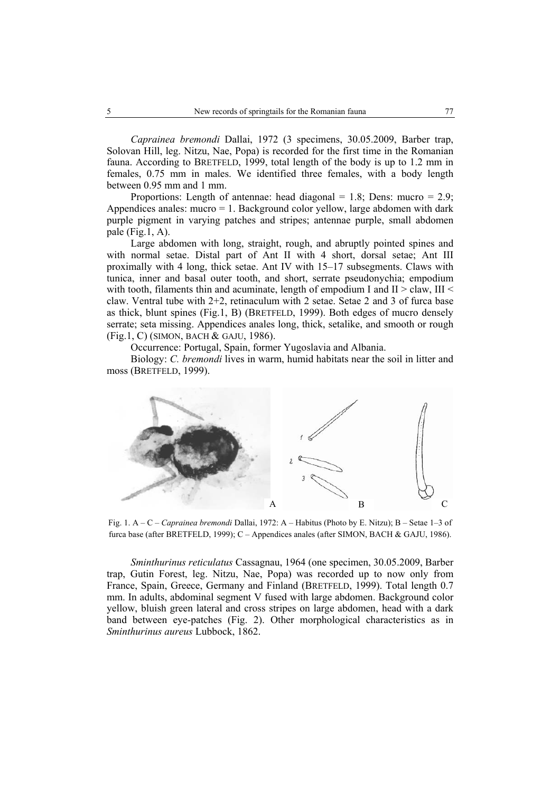*Caprainea bremondi* Dallai, 1972 (3 specimens, 30.05.2009, Barber trap, Solovan Hill, leg. Nitzu, Nae, Popa) is recorded for the first time in the Romanian fauna. According to BRETFELD, 1999, total length of the body is up to 1.2 mm in females, 0.75 mm in males. We identified three females, with a body length between 0.95 mm and 1 mm.

Proportions: Length of antennae: head diagonal = 1.8; Dens: mucro =  $2.9$ ; Appendices anales: mucro  $= 1$ . Background color yellow, large abdomen with dark purple pigment in varying patches and stripes; antennae purple, small abdomen pale  $(Fig.1, A)$ .

Large abdomen with long, straight, rough, and abruptly pointed spines and with normal setae. Distal part of Ant II with 4 short, dorsal setae; Ant III proximally with 4 long, thick setae. Ant IV with 15–17 subsegments. Claws with tunica, inner and basal outer tooth, and short, serrate pseudonychia; empodium with tooth, filaments thin and acuminate, length of empodium I and  $II > claw$ , III < claw. Ventral tube with 2+2, retinaculum with 2 setae. Setae 2 and 3 of furca base as thick, blunt spines (Fig.1, B) (BRETFELD, 1999). Both edges of mucro densely serrate; seta missing. Appendices anales long, thick, setalike, and smooth or rough (Fig.1, C) (SIMON, BACH & GAJU, 1986).

Occurrence: Portugal, Spain, former Yugoslavia and Albania.

Biology: *C. bremondi* lives in warm, humid habitats near the soil in litter and moss (BRETFELD, 1999).



Fig. 1. A – C – *Caprainea bremondi* Dallai, 1972: A – Habitus (Photo by E. Nitzu); B – Setae 1–3 of furca base (after BRETFELD, 1999); C - Appendices anales (after SIMON, BACH & GAJU, 1986).

*Sminthurinus reticulatus* Cassagnau, 1964 (one specimen, 30.05.2009, Barber trap, Gutin Forest, leg. Nitzu, Nae, Popa) was recorded up to now only from France, Spain, Greece, Germany and Finland (BRETFELD, 1999). Total length 0.7 mm. In adults, abdominal segment V fused with large abdomen. Background color yellow, bluish green lateral and cross stripes on large abdomen, head with a dark band between eye-patches (Fig. 2). Other morphological characteristics as in *Sminthurinus aureus* Lubbock, 1862.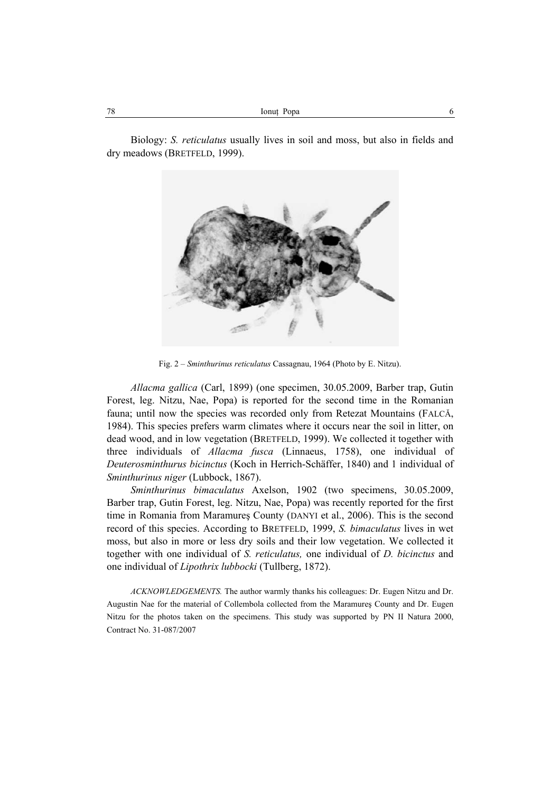Biology: *S. reticulatus* usually lives in soil and moss, but also in fields and dry meadows (BRETFELD, 1999).



Fig. 2 – *Sminthurinus reticulatus* Cassagnau, 1964 (Photo by E. Nitzu).

*Allacma gallica* (Carl, 1899) (one specimen, 30.05.2009, Barber trap, Gutin Forest, leg. Nitzu, Nae, Popa) is reported for the second time in the Romanian fauna; until now the species was recorded only from Retezat Mountains (FALCĂ, 1984). This species prefers warm climates where it occurs near the soil in litter, on dead wood, and in low vegetation (BRETFELD, 1999). We collected it together with three individuals of *Allacma fusca* (Linnaeus, 1758), one individual of *Deuterosminthurus bicinctus* (Koch in Herrich-Schäffer, 1840) and 1 individual of *Sminthurinus niger* (Lubbock, 1867).

*Sminthurinus bimaculatus* Axelson, 1902 (two specimens, 30.05.2009, Barber trap, Gutin Forest, leg. Nitzu, Nae, Popa) was recently reported for the first time in Romania from Maramureş County (DANYI et al., 2006). This is the second record of this species. According to BRETFELD, 1999, *S. bimaculatus* lives in wet moss, but also in more or less dry soils and their low vegetation. We collected it together with one individual of *S. reticulatus,* one individual of *D. bicinctus* and one individual of *Lipothrix lubbocki* (Tullberg, 1872).

*ACKNOWLEDGEMENTS.* The author warmly thanks his colleagues: Dr. Eugen Nitzu and Dr. Augustin Nae for the material of Collembola collected from the Maramureş County and Dr. Eugen Nitzu for the photos taken on the specimens. This study was supported by PN II Natura 2000, Contract No. 31-087/2007